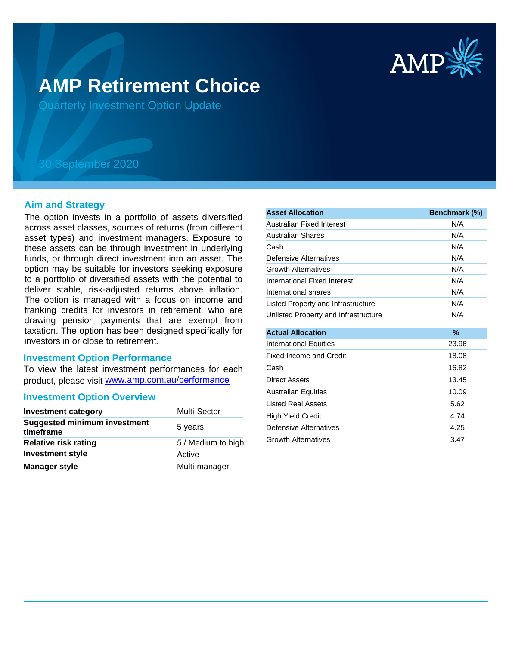

# **AMP Retirement Choice**

Quarterly Investment Option Update

## 30 September 2020

#### **Aim and Strategy**

The option invests in a portfolio of assets diversified across asset classes, sources of returns (from different asset types) and investment managers. Exposure to these assets can be through investment in underlying funds, or through direct investment into an asset. The option may be suitable for investors seeking exposure to a portfolio of diversified assets with the potential to deliver stable, risk-adjusted returns above inflation. The option is managed with a focus on income and franking credits for investors in retirement, who are drawing pension payments that are exempt from taxation. The option has been designed specifically for investors in or close to retirement.

### **Investment Option Performance**

To view the latest investment performances for each product, please visit www.amp.com.au/performance

#### **Investment Option Overview**

| <b>Investment category</b>                       | <b>Multi-Sector</b> |
|--------------------------------------------------|---------------------|
| <b>Suggested minimum investment</b><br>timeframe | 5 years             |
| <b>Relative risk rating</b>                      | 5 / Medium to high  |
| <b>Investment style</b>                          | Active              |
| <b>Manager style</b>                             | Multi-manager       |

| <b>Asset Allocation</b>              | Benchmark (%) |
|--------------------------------------|---------------|
| Australian Fixed Interest            | N/A           |
| <b>Australian Shares</b>             | N/A           |
| Cash                                 | N/A           |
| Defensive Alternatives               | N/A           |
| <b>Growth Alternatives</b>           | N/A           |
| International Fixed Interest         | N/A           |
| International shares                 | N/A           |
| Listed Property and Infrastructure   | N/A           |
| Unlisted Property and Infrastructure | N/A           |
| <b>Actual Allocation</b>             | $\%$          |
| <b>International Equities</b>        | 23.96         |
| Fixed Income and Credit              | 18.08         |
| Cash                                 | 16.82         |
| Direct Assets                        | 13.45         |
| <b>Australian Equities</b>           | 10.09         |
| <b>Listed Real Assets</b>            | 5.62          |
| <b>High Yield Credit</b>             | 4.74          |
| Defensive Alternatives               | 4.25          |
| <b>Growth Alternatives</b>           | 3.47          |